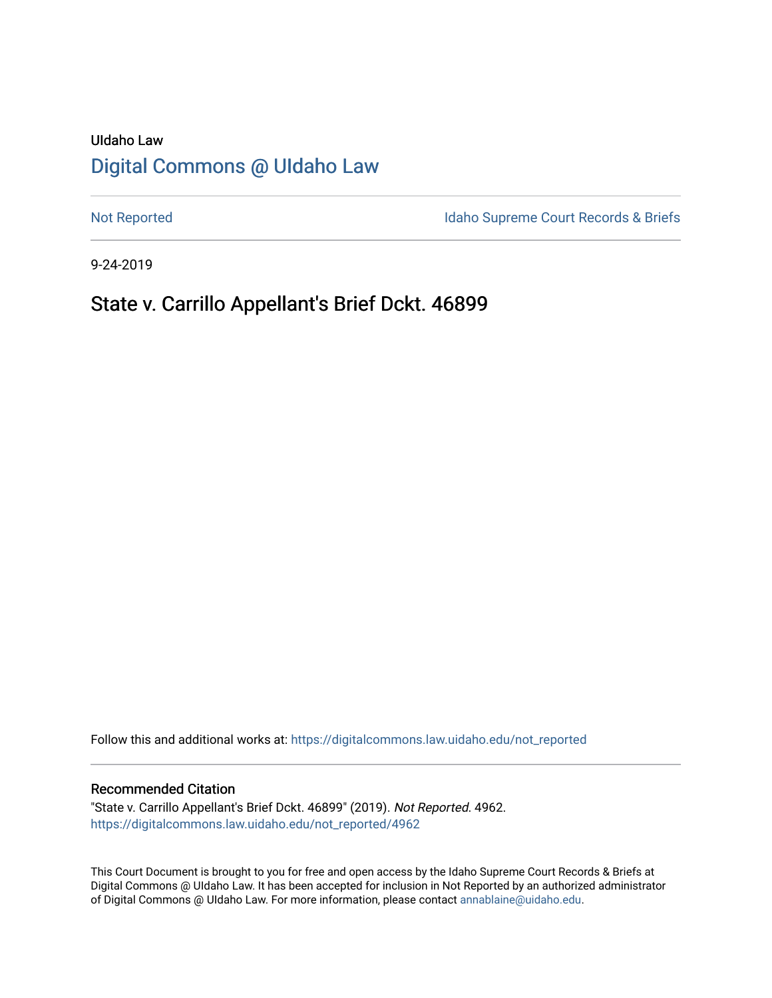# UIdaho Law [Digital Commons @ UIdaho Law](https://digitalcommons.law.uidaho.edu/)

[Not Reported](https://digitalcommons.law.uidaho.edu/not_reported) **Idaho Supreme Court Records & Briefs** 

9-24-2019

## State v. Carrillo Appellant's Brief Dckt. 46899

Follow this and additional works at: [https://digitalcommons.law.uidaho.edu/not\\_reported](https://digitalcommons.law.uidaho.edu/not_reported?utm_source=digitalcommons.law.uidaho.edu%2Fnot_reported%2F4962&utm_medium=PDF&utm_campaign=PDFCoverPages) 

#### Recommended Citation

"State v. Carrillo Appellant's Brief Dckt. 46899" (2019). Not Reported. 4962. [https://digitalcommons.law.uidaho.edu/not\\_reported/4962](https://digitalcommons.law.uidaho.edu/not_reported/4962?utm_source=digitalcommons.law.uidaho.edu%2Fnot_reported%2F4962&utm_medium=PDF&utm_campaign=PDFCoverPages)

This Court Document is brought to you for free and open access by the Idaho Supreme Court Records & Briefs at Digital Commons @ UIdaho Law. It has been accepted for inclusion in Not Reported by an authorized administrator of Digital Commons @ UIdaho Law. For more information, please contact [annablaine@uidaho.edu](mailto:annablaine@uidaho.edu).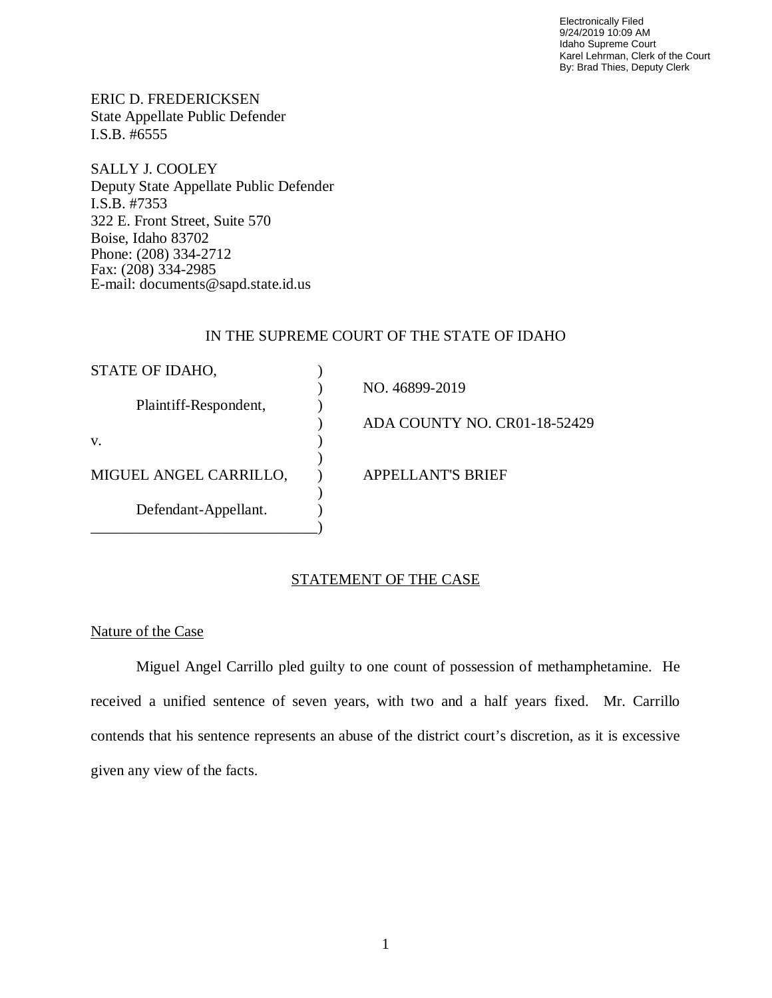Electronically Filed 9/24/2019 10:09 AM Idaho Supreme Court Karel Lehrman, Clerk of the Court By: Brad Thies, Deputy Clerk

ERIC D. FREDERICKSEN State Appellate Public Defender I.S.B. #6555

SALLY J. COOLEY Deputy State Appellate Public Defender I.S.B. #7353 322 E. Front Street, Suite 570 Boise, Idaho 83702 Phone: (208) 334-2712 Fax: (208) 334-2985 E-mail: documents@sapd.state.id.us

## IN THE SUPREME COURT OF THE STATE OF IDAHO

| STATE OF IDAHO,        |                              |
|------------------------|------------------------------|
|                        | NO. 46899-2019               |
| Plaintiff-Respondent,  |                              |
|                        | ADA COUNTY NO. CR01-18-52429 |
| V.                     |                              |
|                        |                              |
| MIGUEL ANGEL CARRILLO, | <b>APPELLANT'S BRIEF</b>     |
|                        |                              |
| Defendant-Appellant.   |                              |
|                        |                              |

## STATEMENT OF THE CASE

#### Nature of the Case

Miguel Angel Carrillo pled guilty to one count of possession of methamphetamine. He received a unified sentence of seven years, with two and a half years fixed. Mr. Carrillo contends that his sentence represents an abuse of the district court's discretion, as it is excessive given any view of the facts.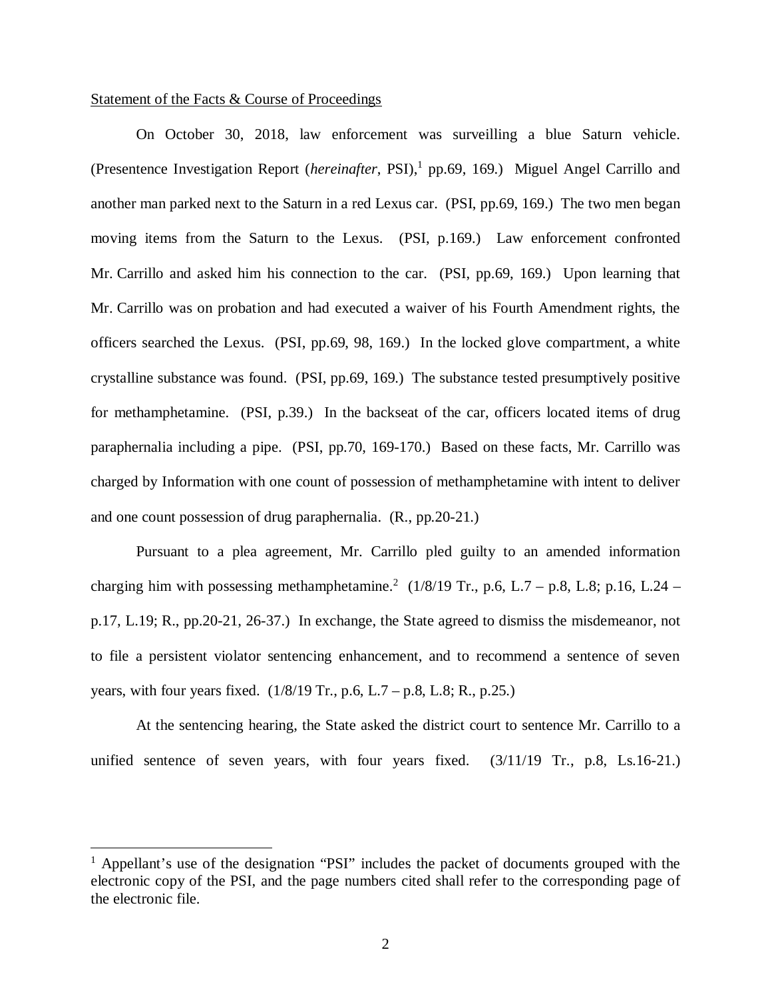#### Statement of the Facts & Course of Proceedings

On October 30, 2018, law enforcement was surveilling a blue Saturn vehicle. (Presentence Investigation Report (*hereinafter*, PSI),<sup>[1](#page-2-0)</sup> pp.69, 169.) Miguel Angel Carrillo and another man parked next to the Saturn in a red Lexus car. (PSI, pp.69, 169.) The two men began moving items from the Saturn to the Lexus. (PSI, p.169.) Law enforcement confronted Mr. Carrillo and asked him his connection to the car. (PSI, pp.69, 169.) Upon learning that Mr. Carrillo was on probation and had executed a waiver of his Fourth Amendment rights, the officers searched the Lexus. (PSI, pp.69, 98, 169.) In the locked glove compartment, a white crystalline substance was found. (PSI, pp.69, 169.) The substance tested presumptively positive for methamphetamine. (PSI, p.39.) In the backseat of the car, officers located items of drug paraphernalia including a pipe. (PSI, pp.70, 169-170.) Based on these facts, Mr. Carrillo was charged by Information with one count of possession of methamphetamine with intent to deliver and one count possession of drug paraphernalia. (R., pp.20-21.)

Pursuant to a plea agreement, Mr. Carrillo pled guilty to an amended information charging him with possessing methamphetamine.<sup>[2](#page-2-1)</sup> (1/8/19 Tr., p.6, L.7 – p.8, L.8; p.16, L.24 – p.17, L.19; R., pp.20-21, 26-37.) In exchange, the State agreed to dismiss the misdemeanor, not to file a persistent violator sentencing enhancement, and to recommend a sentence of seven years, with four years fixed.  $(1/8/19 \text{ Tr}, \text{p.6}, L.7 - \text{p.8}, L.8; R., \text{p.25.})$ 

<span id="page-2-1"></span>At the sentencing hearing, the State asked the district court to sentence Mr. Carrillo to a unified sentence of seven years, with four years fixed. (3/11/19 Tr., p.8, Ls.16-21.)

<span id="page-2-0"></span><sup>&</sup>lt;sup>1</sup> Appellant's use of the designation "PSI" includes the packet of documents grouped with the electronic copy of the PSI, and the page numbers cited shall refer to the corresponding page of the electronic file.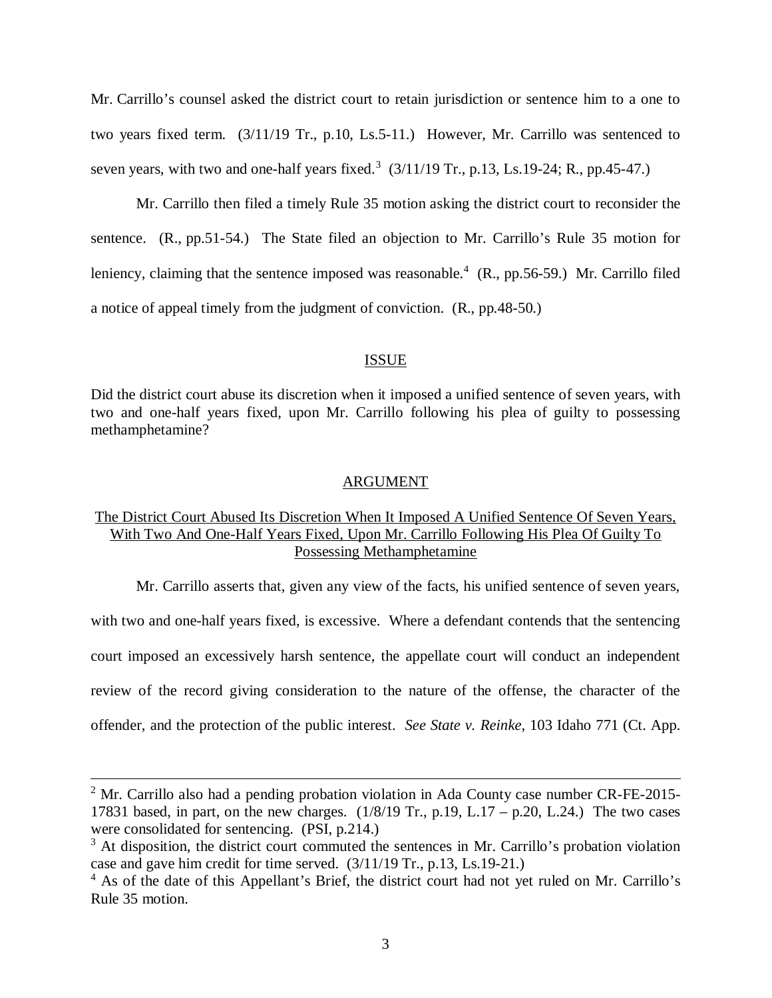Mr. Carrillo's counsel asked the district court to retain jurisdiction or sentence him to a one to two years fixed term. (3/11/19 Tr., p.10, Ls.5-11.) However, Mr. Carrillo was sentenced to seven years, with two and one-half years fixed.<sup>[3](#page-3-0)</sup>  $(3/11/19$  Tr., p.13, Ls.19-24; R., pp.45-47.)

Mr. Carrillo then filed a timely Rule 35 motion asking the district court to reconsider the sentence. (R., pp.51-54.) The State filed an objection to Mr. Carrillo's Rule 35 motion for leniency, claiming that the sentence imposed was reasonable.<sup>[4](#page-3-1)</sup> (R., pp.56-59.) Mr. Carrillo filed a notice of appeal timely from the judgment of conviction. (R., pp.48-50.)

#### ISSUE

Did the district court abuse its discretion when it imposed a unified sentence of seven years, with two and one-half years fixed, upon Mr. Carrillo following his plea of guilty to possessing methamphetamine?

#### ARGUMENT

## The District Court Abused Its Discretion When It Imposed A Unified Sentence Of Seven Years, With Two And One-Half Years Fixed, Upon Mr. Carrillo Following His Plea Of Guilty To Possessing Methamphetamine

Mr. Carrillo asserts that, given any view of the facts, his unified sentence of seven years, with two and one-half years fixed, is excessive. Where a defendant contends that the sentencing court imposed an excessively harsh sentence, the appellate court will conduct an independent review of the record giving consideration to the nature of the offense, the character of the offender, and the protection of the public interest. *See State v. Reinke*, 103 Idaho 771 (Ct. App.

 $2^2$  Mr. Carrillo also had a pending probation violation in Ada County case number CR-FE-2015-17831 based, in part, on the new charges.  $(1/8/19 \text{ Tr}, p.19, L.17 - p.20, L.24)$  The two cases were consolidated for sentencing. (PSI, p.214.)

<span id="page-3-0"></span> $3$  At disposition, the district court commuted the sentences in Mr. Carrillo's probation violation case and gave him credit for time served. (3/11/19 Tr., p.13, Ls.19-21.)

<span id="page-3-1"></span><sup>&</sup>lt;sup>4</sup> As of the date of this Appellant's Brief, the district court had not yet ruled on Mr. Carrillo's Rule 35 motion.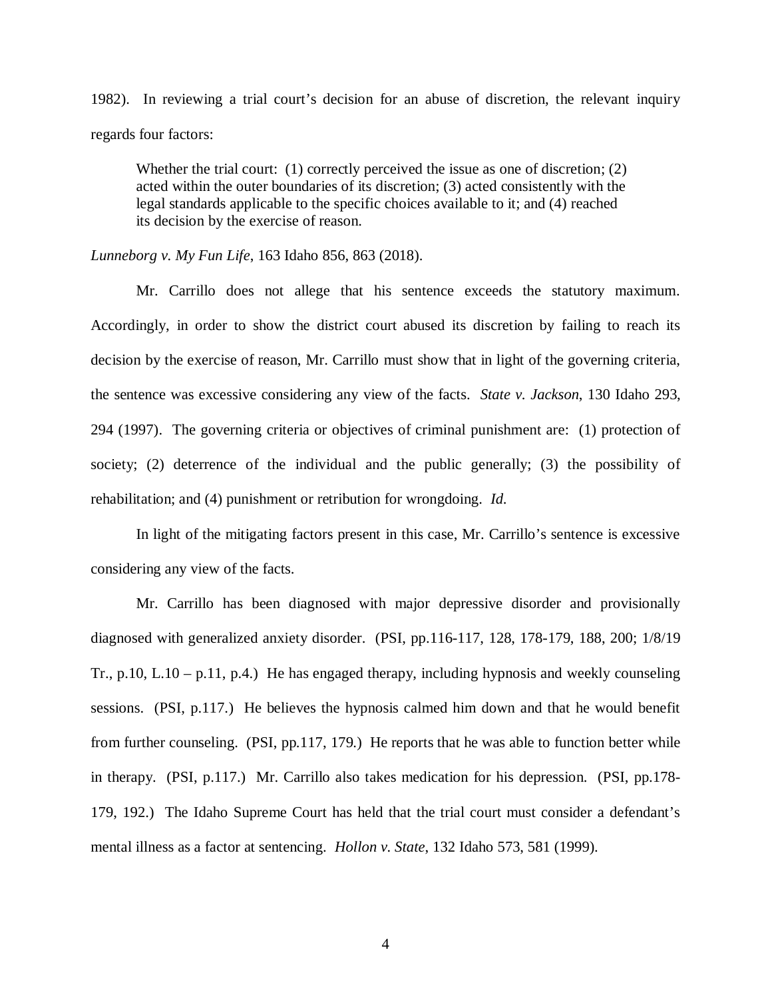1982). In reviewing a trial court's decision for an abuse of discretion, the relevant inquiry regards four factors:

Whether the trial court:  $(1)$  correctly perceived the issue as one of discretion;  $(2)$ acted within the outer boundaries of its discretion; (3) acted consistently with the legal standards applicable to the specific choices available to it; and (4) reached its decision by the exercise of reason.

*Lunneborg v. My Fun Life*, 163 Idaho 856, 863 (2018).

Mr. Carrillo does not allege that his sentence exceeds the statutory maximum. Accordingly, in order to show the district court abused its discretion by failing to reach its decision by the exercise of reason, Mr. Carrillo must show that in light of the governing criteria, the sentence was excessive considering any view of the facts. *State v. Jackson*, 130 Idaho 293, 294 (1997). The governing criteria or objectives of criminal punishment are: (1) protection of society; (2) deterrence of the individual and the public generally; (3) the possibility of rehabilitation; and (4) punishment or retribution for wrongdoing. *Id*.

In light of the mitigating factors present in this case, Mr. Carrillo's sentence is excessive considering any view of the facts.

Mr. Carrillo has been diagnosed with major depressive disorder and provisionally diagnosed with generalized anxiety disorder. (PSI, pp.116-117, 128, 178-179, 188, 200; 1/8/19 Tr., p.10, L.10 – p.11, p.4.) He has engaged therapy, including hypnosis and weekly counseling sessions. (PSI, p.117.) He believes the hypnosis calmed him down and that he would benefit from further counseling. (PSI, pp.117, 179.) He reports that he was able to function better while in therapy. (PSI, p.117.) Mr. Carrillo also takes medication for his depression. (PSI, pp.178- 179, 192.) The Idaho Supreme Court has held that the trial court must consider a defendant's mental illness as a factor at sentencing. *Hollon v. State*, 132 Idaho 573, 581 (1999).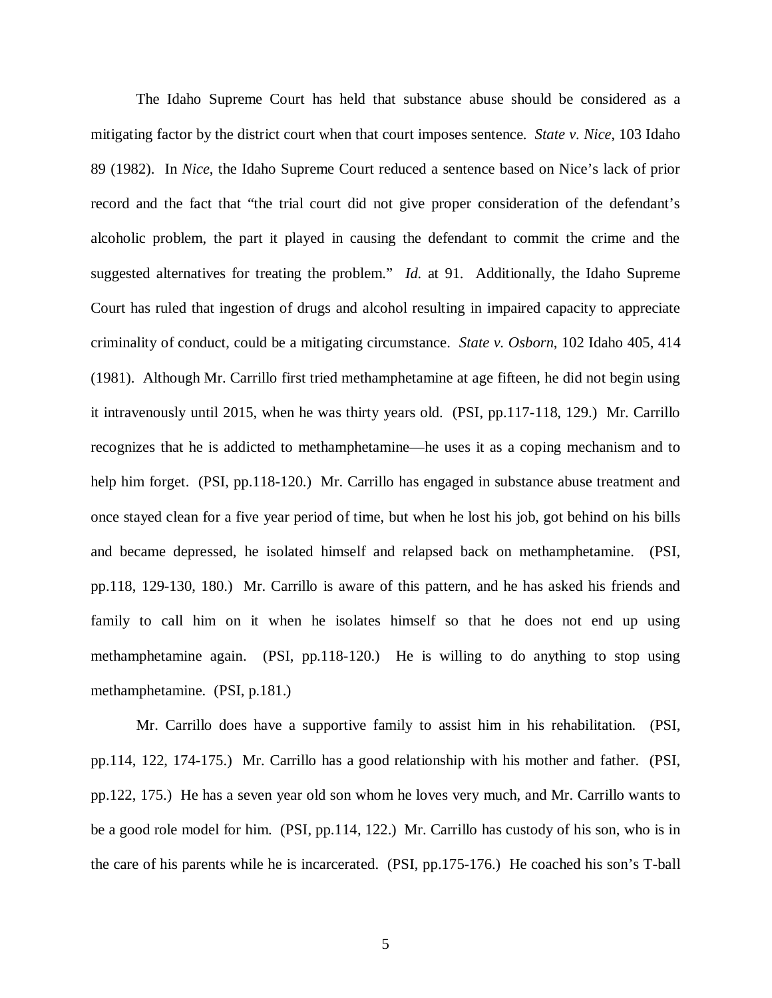The Idaho Supreme Court has held that substance abuse should be considered as a mitigating factor by the district court when that court imposes sentence. *State v. Nice*, 103 Idaho 89 (1982). In *Nice*, the Idaho Supreme Court reduced a sentence based on Nice's lack of prior record and the fact that "the trial court did not give proper consideration of the defendant's alcoholic problem, the part it played in causing the defendant to commit the crime and the suggested alternatives for treating the problem." *Id.* at 91. Additionally, the Idaho Supreme Court has ruled that ingestion of drugs and alcohol resulting in impaired capacity to appreciate criminality of conduct, could be a mitigating circumstance. *State v. Osborn*, 102 Idaho 405, 414 (1981). Although Mr. Carrillo first tried methamphetamine at age fifteen, he did not begin using it intravenously until 2015, when he was thirty years old. (PSI, pp.117-118, 129.) Mr. Carrillo recognizes that he is addicted to methamphetamine—he uses it as a coping mechanism and to help him forget. (PSI, pp.118-120.) Mr. Carrillo has engaged in substance abuse treatment and once stayed clean for a five year period of time, but when he lost his job, got behind on his bills and became depressed, he isolated himself and relapsed back on methamphetamine. (PSI, pp.118, 129-130, 180.) Mr. Carrillo is aware of this pattern, and he has asked his friends and family to call him on it when he isolates himself so that he does not end up using methamphetamine again. (PSI, pp.118-120.) He is willing to do anything to stop using methamphetamine. (PSI, p.181.)

Mr. Carrillo does have a supportive family to assist him in his rehabilitation. (PSI, pp.114, 122, 174-175.) Mr. Carrillo has a good relationship with his mother and father. (PSI, pp.122, 175.) He has a seven year old son whom he loves very much, and Mr. Carrillo wants to be a good role model for him. (PSI, pp.114, 122.) Mr. Carrillo has custody of his son, who is in the care of his parents while he is incarcerated. (PSI, pp.175-176.) He coached his son's T-ball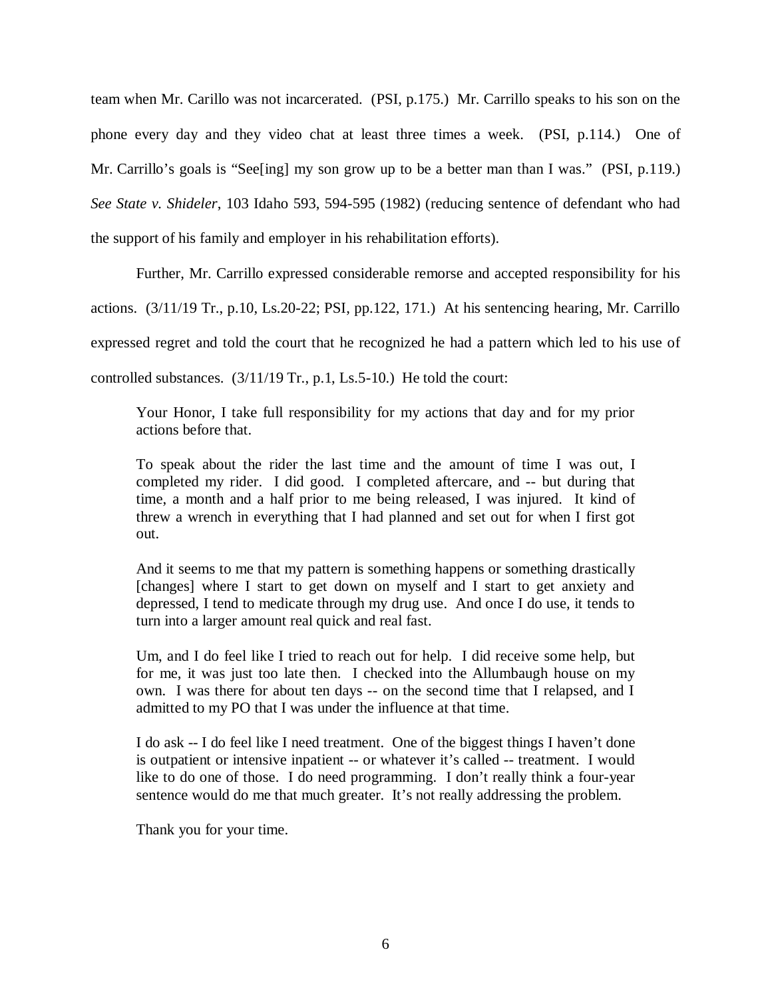team when Mr. Carillo was not incarcerated. (PSI, p.175.) Mr. Carrillo speaks to his son on the phone every day and they video chat at least three times a week. (PSI, p.114.) One of Mr. Carrillo's goals is "See[ing] my son grow up to be a better man than I was." (PSI, p.119.) *See State v. Shideler*, 103 Idaho 593, 594-595 (1982) (reducing sentence of defendant who had the support of his family and employer in his rehabilitation efforts).

Further, Mr. Carrillo expressed considerable remorse and accepted responsibility for his actions. (3/11/19 Tr., p.10, Ls.20-22; PSI, pp.122, 171.) At his sentencing hearing, Mr. Carrillo expressed regret and told the court that he recognized he had a pattern which led to his use of controlled substances. (3/11/19 Tr., p.1, Ls.5-10.) He told the court:

Your Honor, I take full responsibility for my actions that day and for my prior actions before that.

To speak about the rider the last time and the amount of time I was out, I completed my rider. I did good. I completed aftercare, and -- but during that time, a month and a half prior to me being released, I was injured. It kind of threw a wrench in everything that I had planned and set out for when I first got out.

And it seems to me that my pattern is something happens or something drastically [changes] where I start to get down on myself and I start to get anxiety and depressed, I tend to medicate through my drug use. And once I do use, it tends to turn into a larger amount real quick and real fast.

Um, and I do feel like I tried to reach out for help. I did receive some help, but for me, it was just too late then. I checked into the Allumbaugh house on my own. I was there for about ten days -- on the second time that I relapsed, and I admitted to my PO that I was under the influence at that time.

I do ask -- I do feel like I need treatment. One of the biggest things I haven't done is outpatient or intensive inpatient -- or whatever it's called -- treatment. I would like to do one of those. I do need programming. I don't really think a four-year sentence would do me that much greater. It's not really addressing the problem.

Thank you for your time.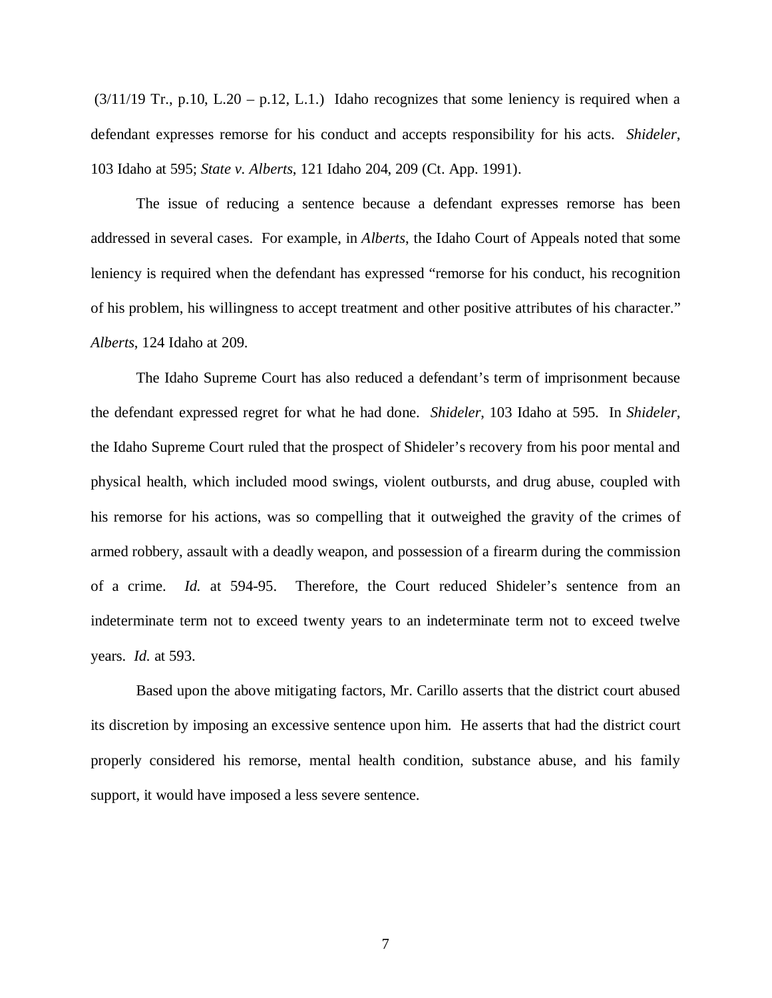$(3/11/19$  Tr., p.10, L.20 – p.12, L.1.) Idaho recognizes that some leniency is required when a defendant expresses remorse for his conduct and accepts responsibility for his acts. *Shideler*, 103 Idaho at 595; *State v. Alberts*, 121 Idaho 204, 209 (Ct. App. 1991).

The issue of reducing a sentence because a defendant expresses remorse has been addressed in several cases. For example, in *Alberts*, the Idaho Court of Appeals noted that some leniency is required when the defendant has expressed "remorse for his conduct, his recognition of his problem, his willingness to accept treatment and other positive attributes of his character." *Alberts*, 124 Idaho at 209.

The Idaho Supreme Court has also reduced a defendant's term of imprisonment because the defendant expressed regret for what he had done. *Shideler*, 103 Idaho at 595. In *Shideler*, the Idaho Supreme Court ruled that the prospect of Shideler's recovery from his poor mental and physical health, which included mood swings, violent outbursts, and drug abuse, coupled with his remorse for his actions, was so compelling that it outweighed the gravity of the crimes of armed robbery, assault with a deadly weapon, and possession of a firearm during the commission of a crime. *Id.* at 594-95. Therefore, the Court reduced Shideler's sentence from an indeterminate term not to exceed twenty years to an indeterminate term not to exceed twelve years. *Id.* at 593.

Based upon the above mitigating factors, Mr. Carillo asserts that the district court abused its discretion by imposing an excessive sentence upon him. He asserts that had the district court properly considered his remorse, mental health condition, substance abuse, and his family support, it would have imposed a less severe sentence.